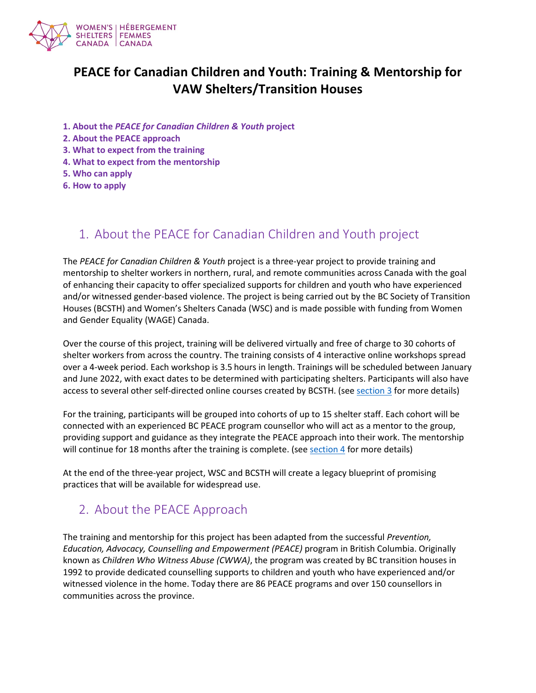

# **PEACE for Canadian Children and Youth: Training & Mentorship for VAW Shelters/Transition Houses**

- **1. About the** *[PEACE for Canadian Children & Youth](#page-0-0)* **project**
- **[2. About the PEACE approach](#page-0-1)**
- **[3. What to expect from the training](#page-1-0)**
- **[4. What to expect from the mentorship](#page-2-0)**
- **[5. Who can apply](#page-2-1)**
- **[6. How to apply](#page-2-2)**

#### <span id="page-0-0"></span>1. About the PEACE for Canadian Children and Youth project

The *PEACE for Canadian Children & Youth* project is a three-year project to provide training and mentorship to shelter workers in northern, rural, and remote communities across Canada with the goal of enhancing their capacity to offer specialized supports for children and youth who have experienced and/or witnessed gender-based violence. The project is being carried out by the BC Society of Transition Houses (BCSTH) and Women's Shelters Canada (WSC) and is made possible with funding from Women and Gender Equality (WAGE) Canada.

Over the course of this project, training will be delivered virtually and free of charge to 30 cohorts of shelter workers from across the country. The training consists of 4 interactive online workshops spread over a 4-week period. Each workshop is 3.5 hours in length. Trainings will be scheduled between January and June 2022, with exact dates to be determined with participating shelters. Participants will also have access to several other self-directed online courses created by BCSTH. (se[e section 3](#page-1-0) for more details)

For the training, participants will be grouped into cohorts of up to 15 shelter staff. Each cohort will be connected with an experienced BC PEACE program counsellor who will act as a mentor to the group, providing support and guidance as they integrate the PEACE approach into their work. The mentorship will continue for 18 months after the training is complete. (see [section 4](#page-2-0) for more details)

<span id="page-0-1"></span>At the end of the three-year project, WSC and BCSTH will create a legacy blueprint of promising practices that will be available for widespread use.

#### 2. About the PEACE Approach

The training and mentorship for this project has been adapted from the successful *Prevention, Education, Advocacy, Counselling and Empowerment (PEACE)* program in British Columbia. Originally known as *Children Who Witness Abuse (CWWA)*, the program was created by BC transition houses in 1992 to provide dedicated counselling supports to children and youth who have experienced and/or witnessed violence in the home. Today there are 86 PEACE programs and over 150 counsellors in communities across the province.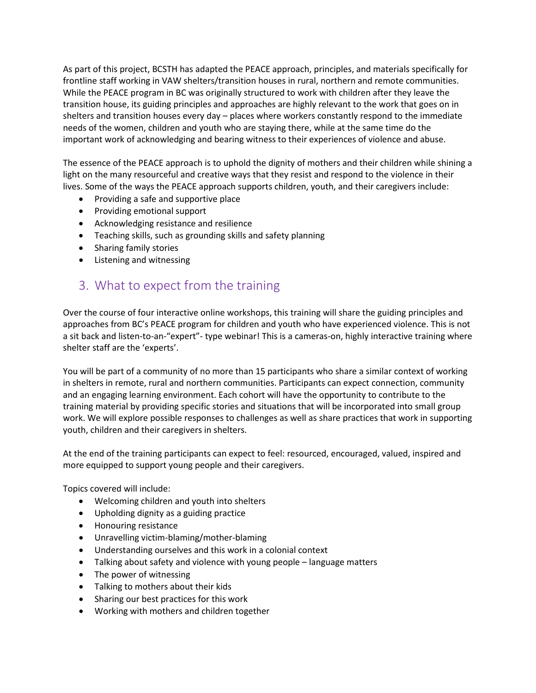As part of this project, BCSTH has adapted the PEACE approach, principles, and materials specifically for frontline staff working in VAW shelters/transition houses in rural, northern and remote communities. While the PEACE program in BC was originally structured to work with children after they leave the transition house, its guiding principles and approaches are highly relevant to the work that goes on in shelters and transition houses every day – places where workers constantly respond to the immediate needs of the women, children and youth who are staying there, while at the same time do the important work of acknowledging and bearing witness to their experiences of violence and abuse.

The essence of the PEACE approach is to uphold the dignity of mothers and their children while shining a light on the many resourceful and creative ways that they resist and respond to the violence in their lives. Some of the ways the PEACE approach supports children, youth, and their caregivers include:

- Providing a safe and supportive place
- Providing emotional support
- Acknowledging resistance and resilience
- Teaching skills, such as grounding skills and safety planning
- Sharing family stories
- Listening and witnessing

### <span id="page-1-0"></span>3. What to expect from the training

Over the course of four interactive online workshops, this training will share the guiding principles and approaches from BC's PEACE program for children and youth who have experienced violence. This is not a sit back and listen-to-an-"expert"- type webinar! This is a cameras-on, highly interactive training where shelter staff are the 'experts'.

You will be part of a community of no more than 15 participants who share a similar context of working in shelters in remote, rural and northern communities. Participants can expect connection, community and an engaging learning environment. Each cohort will have the opportunity to contribute to the training material by providing specific stories and situations that will be incorporated into small group work. We will explore possible responses to challenges as well as share practices that work in supporting youth, children and their caregivers in shelters.

At the end of the training participants can expect to feel: resourced, encouraged, valued, inspired and more equipped to support young people and their caregivers.

Topics covered will include:

- Welcoming children and youth into shelters
- Upholding dignity as a guiding practice
- Honouring resistance
- Unravelling victim-blaming/mother-blaming
- Understanding ourselves and this work in a colonial context
- Talking about safety and violence with young people language matters
- The power of witnessing
- Talking to mothers about their kids
- Sharing our best practices for this work
- Working with mothers and children together